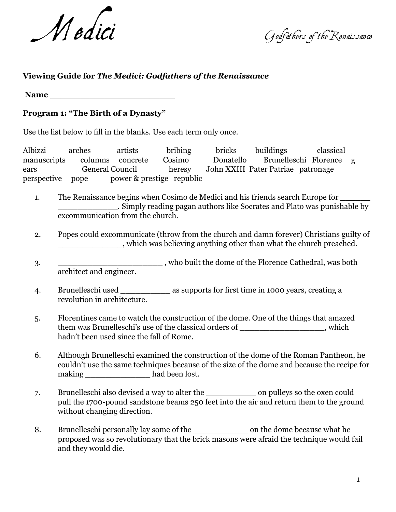Medici Godfathers of the Renaissance

## **Viewing Guide for** *The Medici: Godfathers of the Renaissance*

Name

## **Program 1: "The Birth of a Dynasty"**

Use the list below to fill in the blanks. Use each term only once.

Albizzi arches artists bribing bricks buildings classical manuscripts columns concrete Cosimo Donatello Brunelleschi Florence g ears General Council heresy John XXIII Pater Patriae patronage perspective pope power & prestige republic

- 1. The Renaissance begins when Cosimo de Medici and his friends search Europe for \_\_\_\_\_\_\_\_\_\_\_\_. Simply reading pagan authors like Socrates and Plato was punishable by excommunication from the church.
- 2. Popes could excommunicate (throw from the church and damn forever) Christians guilty of \_\_\_\_\_\_\_\_\_\_\_\_\_, which was believing anything other than what the church preached.
- 3. \_\_\_\_\_\_\_\_\_\_\_\_\_\_\_\_\_\_\_\_\_\_\_\_\_\_\_\_\_, who built the dome of the Florence Cathedral, was both architect and engineer.
- 4. Brunelleschi used \_\_\_\_\_\_\_\_\_\_ as supports for first time in 1000 years, creating a revolution in architecture.
- 5. Florentines came to watch the construction of the dome. One of the things that amazed them was Brunelleschi's use of the classical orders of  $\qquad \qquad$ , which hadn't been used since the fall of Rome.
- 6. Although Brunelleschi examined the construction of the dome of the Roman Pantheon, he couldn't use the same techniques because of the size of the dome and because the recipe for making had been lost.
- 7. Brunelleschi also devised a way to alter the \_\_\_\_\_\_\_\_\_\_ on pulleys so the oxen could pull the 1700-pound sandstone beams 250 feet into the air and return them to the ground without changing direction.
- 8. Brunelleschi personally lay some of the \_\_\_\_\_\_\_\_\_\_\_ on the dome because what he proposed was so revolutionary that the brick masons were afraid the technique would fail and they would die.